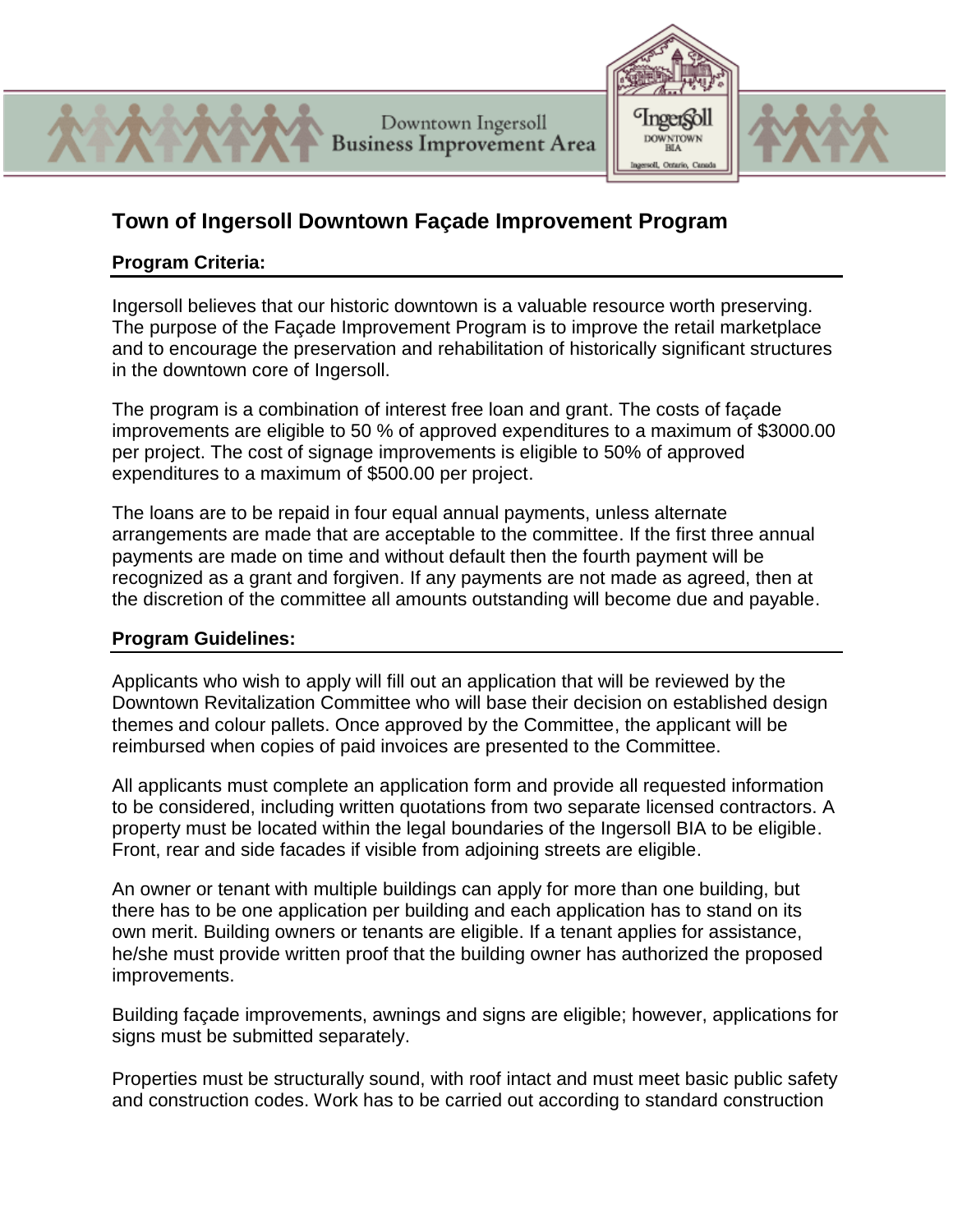Downtown Ingersoll **Business Improvement Area**  TngerSoll

DOWNTOWN

## **Town of Ingersoll Downtown Façade Improvement Program**

## **Program Criteria:**

Ingersoll believes that our historic downtown is a valuable resource worth preserving. The purpose of the Façade Improvement Program is to improve the retail marketplace and to encourage the preservation and rehabilitation of historically significant structures in the downtown core of Ingersoll.

The program is a combination of interest free loan and grant. The costs of façade improvements are eligible to 50 % of approved expenditures to a maximum of \$3000.00 per project. The cost of signage improvements is eligible to 50% of approved expenditures to a maximum of \$500.00 per project.

The loans are to be repaid in four equal annual payments, unless alternate arrangements are made that are acceptable to the committee. If the first three annual payments are made on time and without default then the fourth payment will be recognized as a grant and forgiven. If any payments are not made as agreed, then at the discretion of the committee all amounts outstanding will become due and payable.

## **Program Guidelines:**

Applicants who wish to apply will fill out an application that will be reviewed by the Downtown Revitalization Committee who will base their decision on established design themes and colour pallets. Once approved by the Committee, the applicant will be reimbursed when copies of paid invoices are presented to the Committee.

All applicants must complete an application form and provide all requested information to be considered, including written quotations from two separate licensed contractors. A property must be located within the legal boundaries of the Ingersoll BIA to be eligible. Front, rear and side facades if visible from adjoining streets are eligible.

An owner or tenant with multiple buildings can apply for more than one building, but there has to be one application per building and each application has to stand on its own merit. Building owners or tenants are eligible. If a tenant applies for assistance, he/she must provide written proof that the building owner has authorized the proposed improvements.

Building façade improvements, awnings and signs are eligible; however, applications for signs must be submitted separately.

Properties must be structurally sound, with roof intact and must meet basic public safety and construction codes. Work has to be carried out according to standard construction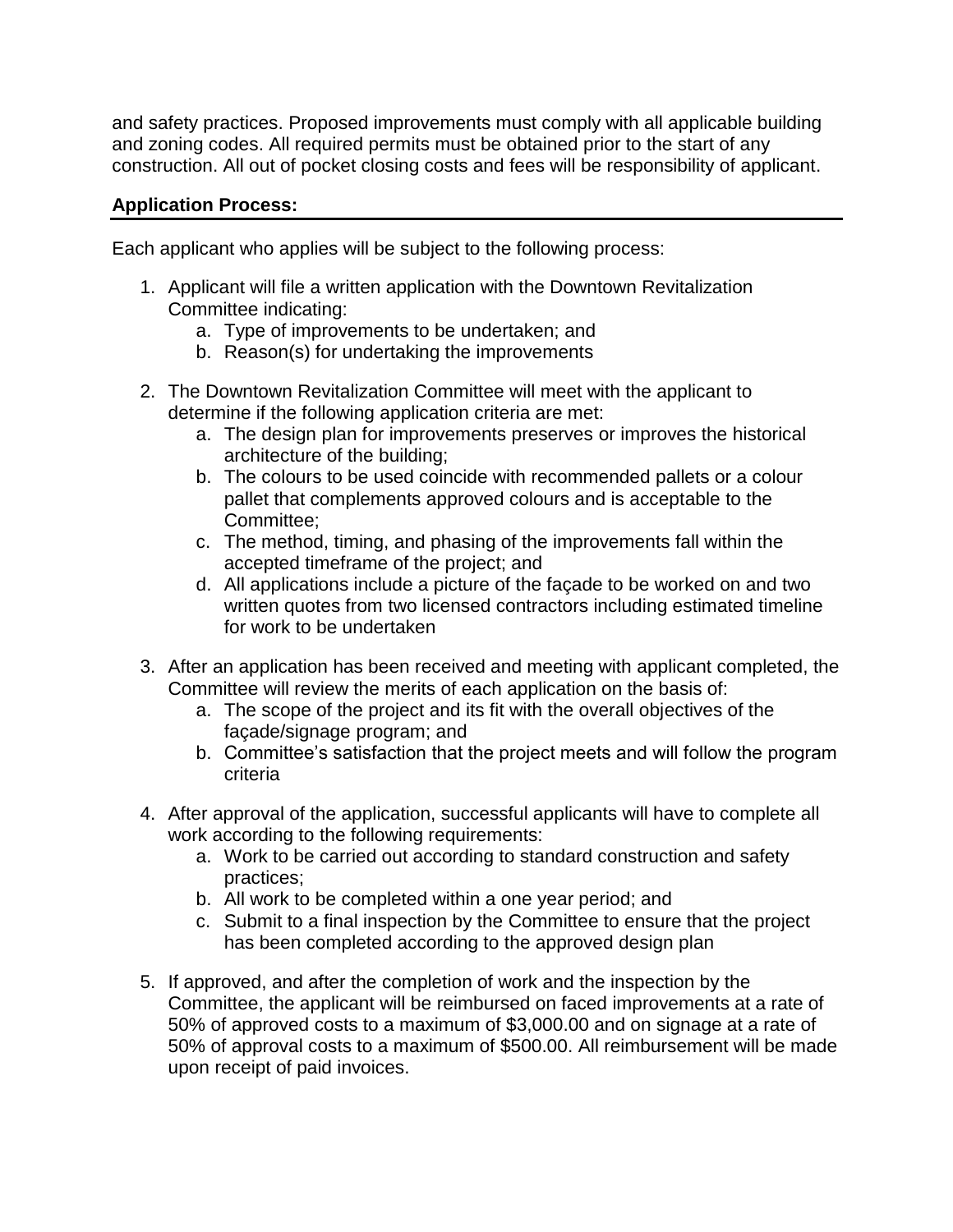and safety practices. Proposed improvements must comply with all applicable building and zoning codes. All required permits must be obtained prior to the start of any construction. All out of pocket closing costs and fees will be responsibility of applicant.

## **Application Process:**

Each applicant who applies will be subject to the following process:

- 1. Applicant will file a written application with the Downtown Revitalization Committee indicating:
	- a. Type of improvements to be undertaken; and
	- b. Reason(s) for undertaking the improvements
- 2. The Downtown Revitalization Committee will meet with the applicant to determine if the following application criteria are met:
	- a. The design plan for improvements preserves or improves the historical architecture of the building;
	- b. The colours to be used coincide with recommended pallets or a colour pallet that complements approved colours and is acceptable to the Committee;
	- c. The method, timing, and phasing of the improvements fall within the accepted timeframe of the project; and
	- d. All applications include a picture of the façade to be worked on and two written quotes from two licensed contractors including estimated timeline for work to be undertaken
- 3. After an application has been received and meeting with applicant completed, the Committee will review the merits of each application on the basis of:
	- a. The scope of the project and its fit with the overall objectives of the façade/signage program; and
	- b. Committee's satisfaction that the project meets and will follow the program criteria
- 4. After approval of the application, successful applicants will have to complete all work according to the following requirements:
	- a. Work to be carried out according to standard construction and safety practices;
	- b. All work to be completed within a one year period; and
	- c. Submit to a final inspection by the Committee to ensure that the project has been completed according to the approved design plan
- 5. If approved, and after the completion of work and the inspection by the Committee, the applicant will be reimbursed on faced improvements at a rate of 50% of approved costs to a maximum of \$3,000.00 and on signage at a rate of 50% of approval costs to a maximum of \$500.00. All reimbursement will be made upon receipt of paid invoices.